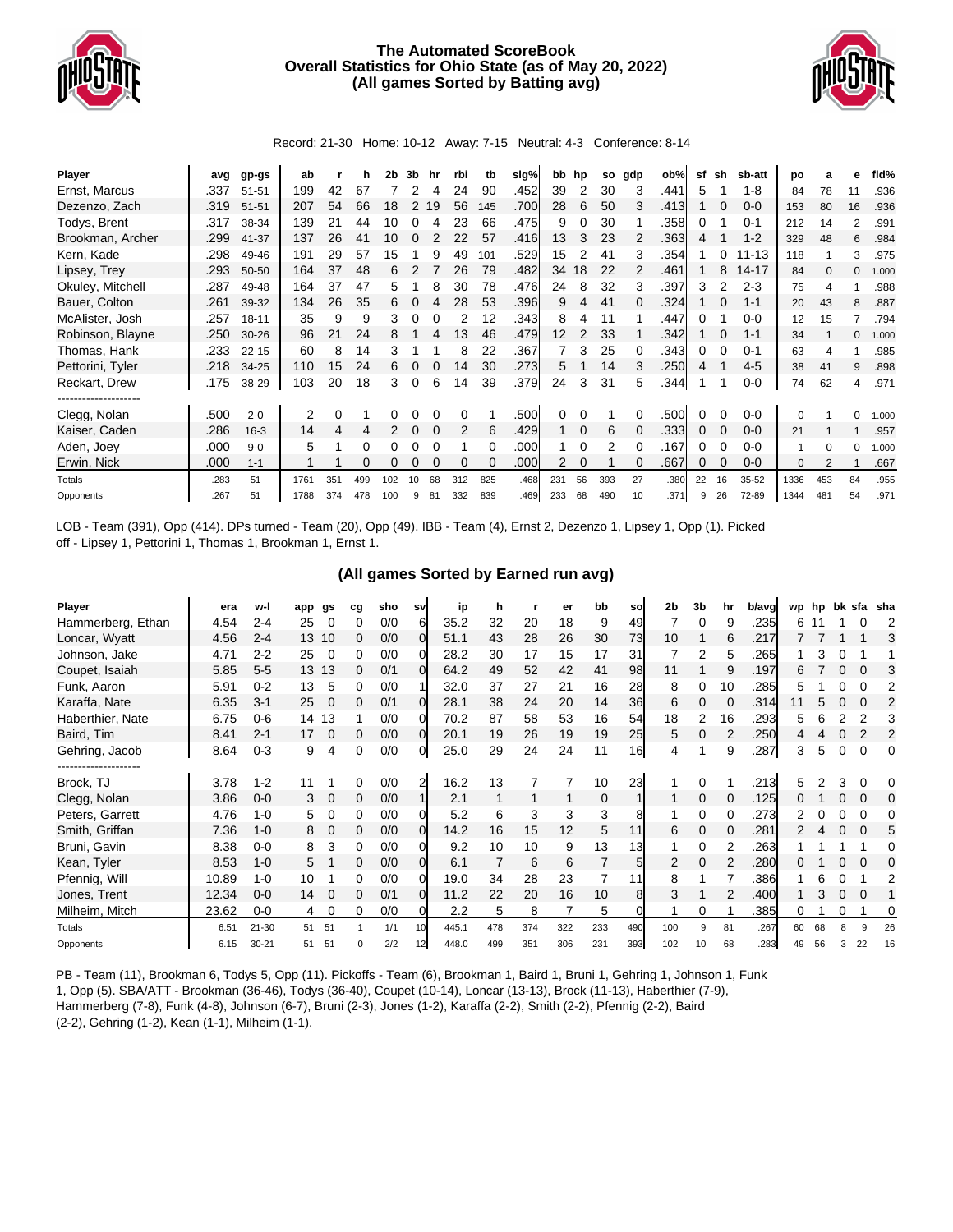

## **The Automated ScoreBook Overall Statistics for Ohio State (as of May 20, 2022) (All games Sorted by Batting avg)**



Record: 21-30 Home: 10-12 Away: 7-15 Neutral: 4-3 Conference: 8-14

| Player           | avg  | gp-gs     | ab   |     | h   | 2b  | 3b | hr | rbi | tb  | slg% | bb  | hp       | so  | gdp | ob%  | sf | sh | sb-att    | po           | a        | е        | fld%  |
|------------------|------|-----------|------|-----|-----|-----|----|----|-----|-----|------|-----|----------|-----|-----|------|----|----|-----------|--------------|----------|----------|-------|
| Ernst, Marcus    | .337 | $51 - 51$ | 199  | 42  | 67  |     | 2  |    | 24  | 90  | .452 | 39  | 2        | 30  | 3   | .441 | 5  |    | $1 - 8$   | 84           | 78       |          | .936  |
| Dezenzo, Zach    | .319 | $51 - 51$ | 207  | 54  | 66  | 18  | 2  | 19 | 56  | 145 | .700 | 28  | 6        | 50  | 3   | .413 |    |    | $0-0$     | 153          | 80       | 16       | .936  |
| Todys, Brent     | .317 | 38-34     | 139  |     | 44  | 10  |    |    | 23  | 66  | .475 | 9   | 0        | 30  |     | .358 |    |    | $0 - 1$   | 212          | 14       | 2        | .991  |
| Brookman, Archer | .299 | 41-37     | 137  | 26  | 41  | 10  |    |    | 22  | 57  | .416 | 13  | 3        | 23  | 2   | .363 | 4  |    | $1 - 2$   | 329          | 48       | 6        | .984  |
| Kern, Kade       | .298 | 49-46     | 191  | 29  | 57  | 15  |    | 9  | 49  | 101 | .529 | 15  |          | 41  | 3   | .354 |    |    | $11 - 13$ | 118          |          | 3        | .975  |
| Lipsey, Trey     | .293 | 50-50     | 164  | 37  | 48  | 6   |    |    | 26  | 79  | .482 | 34  | 18       | 22  | 2   | .461 |    | 8  | $14 - 17$ | 84           | $\Omega$ | 0        | 1.000 |
| Okuley, Mitchell | .287 | 49-48     | 164  | 37  | 47  | 5   |    |    | 30  | 78  | .476 | 24  | 8        | 32  | 3   | .397 | 3  |    | $2 - 3$   | 75           |          |          | .988  |
| Bauer, Colton    | .261 | 39-32     | 134  | 26  | 35  | 6.  |    |    | 28  | 53  | .396 | 9   | 4        | 41  | 0   | .324 |    |    | $1 - 1$   | 20           | 43       | 8        | .887  |
| McAlister, Josh  | .257 | $18 - 11$ | 35   | 9   | 9   | 3   | 0  |    |     | 12  | .343 | 8   | 4        | 11  |     | .447 | 0  |    | $0 - 0$   | 12           | 15       |          | .794  |
| Robinson, Blayne | .250 | $30 - 26$ | 96   | 21  | 24  | 8   |    |    | 13  | 46  | .479 | 12  | 2        | 33  |     | .342 |    |    | $1 - 1$   | 34           |          | 0        | 1.000 |
| Thomas, Hank     | .233 | $22 - 15$ | 60   | 8   | 14  | 3   |    |    | 8   | 22  | .367 |     | 3        | 25  | 0   | .343 | 0  |    | $0 - 1$   | 63           |          |          | .985  |
| Pettorini, Tyler | .218 | 34-25     | 110  | 15  | 24  | 6   |    |    | 14  | 30  | .273 | 5   |          | 14  | 3   | .250 | 4  |    | $4 - 5$   | 38           | 41       | 9        | .898  |
| Reckart, Drew    | .175 | 38-29     | 103  | 20  | 18  | 3   | 0  | 6  | 14  | 39  | .379 | 24  | 3        | 31  | 5   | .344 |    |    | $0 - 0$   | 74           | 62       | 4        | .971  |
| <br>Clegg, Nolan | .500 | $2 - 0$   | 2    | 0   |     |     |    |    | 0   |     | .500 | 0   | O        |     |     | .500 |    |    | $0-0$     | $\Omega$     |          | 0        | 1.000 |
| Kaiser, Caden    | .286 | $16 - 3$  | 14   | 4   | 4   |     |    |    | 2   | 6   | .429 |     | $\Omega$ | 6   |     | .333 | 0  |    | $0-0$     | 21           |          |          | .957  |
| Aden, Joey       | .000 | $9 - 0$   | 5    |     | 0   |     |    |    |     | 0   | .000 |     | 0        | 2   |     | .167 | 0  |    | $0 - 0$   |              | 0        | $\Omega$ | 1.000 |
| Erwin, Nick      | .000 | $1 - 1$   |      |     |     |     |    |    | 0   |     | .000 |     |          |     |     | .667 | 0  |    | $0 - 0$   | $\mathbf{0}$ |          |          | .667  |
| Totals           | .283 | 51        | 1761 | 351 | 499 | 102 | 10 | 68 | 312 | 825 | .468 | 231 | 56       | 393 | 27  | .380 | 22 | 16 | 35-52     | 1336         | 453      | 84       | .955  |
| Opponents        | .267 | 51        | 1788 | 374 | 478 | 100 | 9  | 81 | 332 | 839 | .469 | 233 | 68       | 490 | 10  | .371 | 9  | 26 | 72-89     | 1344         | 481      | 54       | .971  |

LOB - Team (391), Opp (414). DPs turned - Team (20), Opp (49). IBB - Team (4), Ernst 2, Dezenzo 1, Lipsey 1, Opp (1). Picked off - Lipsey 1, Pettorini 1, Thomas 1, Brookman 1, Ernst 1.

## **(All games Sorted by Earned run avg)**

| Player            | era   | w-l       | app | gs       | cg | sho | sv       | ip    | h   |     | er  | bb  | so             | 2 <sub>b</sub> | 3b | hr | b/avg | wp hp |    |          | bk sfa   | sha            |
|-------------------|-------|-----------|-----|----------|----|-----|----------|-------|-----|-----|-----|-----|----------------|----------------|----|----|-------|-------|----|----------|----------|----------------|
| Hammerberg, Ethan | 4.54  | $2 - 4$   | 25  | $\Omega$ | 0  | 0/0 | 61       | 35.2  | 32  | 20  | 18  | 9   | 49             |                | 0  | 9  | .235  | 6.    |    |          | 0        | 2              |
| Loncar, Wyatt     | 4.56  | $2 - 4$   | 13  | 10       | 0  | 0/0 | 01       | 51.1  | 43  | 28  | 26  | 30  | 73             | 10             |    | 6  | .217  |       |    |          |          | 3              |
| Johnson, Jake     | 4.71  | $2 - 2$   | 25  | $\Omega$ | 0  | 0/0 | 0        | 28.2  | 30  | 17  | 15  | 17  | 31             |                | 2  | 5  | .265  |       | 3  |          |          |                |
| Coupet, Isaiah    | 5.85  | $5-5$     | 13  | 13       | 0  | 0/1 | ΩI       | 64.2  | 49  | 52  | 42  | 41  | 98             | 11             |    | 9  | .197  | 6     |    |          | 0        | 3              |
| Funk, Aaron       | 5.91  | $0 - 2$   | 13  | 5        | 0  | 0/0 |          | 32.0  | 37  | 27  | 21  | 16  | 28             | 8              | 0  | 10 | .285  | 5     |    |          | O        | 2              |
| Karaffa, Nate     | 6.35  | $3 - 1$   | 25  | $\Omega$ | 0  | 0/1 | 01       | 28.1  | 38  | 24  | 20  | 14  | 36             | 6              | 0  |    | .314  |       |    |          | $\Omega$ | $\overline{2}$ |
| Haberthier, Nate  | 6.75  | $0-6$     | 14  | 13       |    | 0/0 | 0        | 70.2  | 87  | 58  | 53  | 16  | 54             | 18             | 2  | 16 | .293  | 5     |    |          |          |                |
| Baird, Tim        | 8.41  | $2 - 1$   | 17  | $\Omega$ | 0  | 0/0 | $\Omega$ | 20.1  | 19  | 26  | 19  | 19  | 25             | 5              | 0  |    | .250  | 4     |    |          | 2        | 2              |
| Gehring, Jacob    | 8.64  | $0 - 3$   | 9   | 4        | 0  | 0/0 | 01       | 25.0  | 29  | 24  | 24  | 11  | 16             | 4              |    | 9  | .287  | 3     | 5  | $\Omega$ | $\Omega$ | 0              |
| ----------------  |       |           |     |          |    |     |          |       |     |     |     |     |                |                |    |    |       |       |    |          |          |                |
| Brock, TJ         | 3.78  | $1 - 2$   | 11  |          | 0  | 0/0 | 2        | 16.2  | 13  |     |     | 10  | 23             |                | 0  |    | .213  | 5     |    |          |          | 0              |
| Clegg, Nolan      | 3.86  | $0 - 0$   | 3   | 0        | 0  | 0/0 |          | 2.1   |     | 1   |     | 0   |                |                | 0  | 0  | .125  |       |    |          | $\Omega$ | 0              |
| Peters, Garrett   | 4.76  | 1-0       | 5   | 0        | 0  | 0/0 | ΩI       | 5.2   | 6   | 3   | 3   | 3   | 8              |                | 0  | 0  | .273  |       |    |          | 0        | 0              |
| Smith, Griffan    | 7.36  | $1 - 0$   | 8   | 0        | 0  | 0/0 | ΩI       | 14.2  | 16  | 15  | 12  | 5   | 11             | 6              | 0  | 0  | .281  |       |    |          | $\Omega$ | 5              |
| Bruni, Gavin      | 8.38  | $0 - 0$   | 8   | 3        | 0  | 0/0 | 01       | 9.2   | 10  | 10  | 9   | 13  | 13             |                | 0  |    | .263  |       |    |          |          | 0              |
| Kean, Tyler       | 8.53  | $1 - 0$   | 5   |          | 0  | 0/0 | OI.      | 6.1   |     | 6   | 6   | 7   | 5 <sup>1</sup> | 2              | 0  | 2  | .280  |       |    |          | $\Omega$ | O              |
| Pfennig, Will     | 10.89 | 1-0       | 10  |          | 0  | 0/0 | ΩI       | 19.0  | 34  | 28  | 23  |     | 11             | 8              |    |    | .386  |       | 6  |          |          | 2              |
| Jones, Trent      | 12.34 | $0 - 0$   | 14  | $\Omega$ | 0  | 0/1 | 0l       | 11.2  | 22  | 20  | 16  | 10  | 8              | 3              |    |    | .400  |       |    |          | $\Omega$ |                |
| Milheim, Mitch    | 23.62 | $0-0$     | 4   | $\Omega$ | 0  | 0/0 | 0        | 2.2   | 5   | 8   |     | 5   |                |                | 0  |    | .385  | 0     |    |          |          | 0              |
| Totals            | 6.51  | $21 - 30$ | 51  | 51       |    | 1/1 | 10       | 445.1 | 478 | 374 | 322 | 233 | 490            | 100            | 9  | 81 | .267  | 60    | 68 |          | 9        | 26             |
| Opponents         | 6.15  | $30 - 21$ | 51  | 51       | O  | 2/2 | 12       | 448.0 | 499 | 351 | 306 | 231 | 393            | 102            | 10 | 68 | .283  | 49    | 56 |          | 22       | 16             |

PB - Team (11), Brookman 6, Todys 5, Opp (11). Pickoffs - Team (6), Brookman 1, Baird 1, Bruni 1, Gehring 1, Johnson 1, Funk 1, Opp (5). SBA/ATT - Brookman (36-46), Todys (36-40), Coupet (10-14), Loncar (13-13), Brock (11-13), Haberthier (7-9), Hammerberg (7-8), Funk (4-8), Johnson (6-7), Bruni (2-3), Jones (1-2), Karaffa (2-2), Smith (2-2), Pfennig (2-2), Baird (2-2), Gehring (1-2), Kean (1-1), Milheim (1-1).